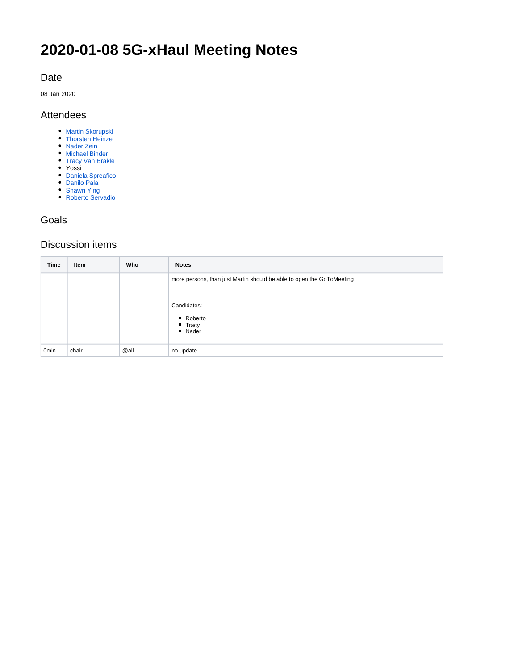# **2020-01-08 5G-xHaul Meeting Notes**

## Date

08 Jan 2020

### Attendees

- **[Martin Skorupski](https://wiki.opennetworking.org/display/~demx8as6)**
- [Thorsten Heinze](https://wiki.opennetworking.org/display/~thorsten.heinze)
- [Nader Zein](https://wiki.opennetworking.org/display/~nader.zein)
- [Michael Binder](https://wiki.opennetworking.org/display/~michael.binder) [Tracy Van Brakle](https://wiki.opennetworking.org/display/~tracyvb)
- Yossi
- [Daniela Spreafico](https://wiki.opennetworking.org/display/~spreafico.daniela)
- [Danilo Pala](https://wiki.opennetworking.org/display/~danilo.pala)
- [Shawn Ying](https://wiki.opennetworking.org/display/~sying728)
- [Roberto Servadio](https://wiki.opennetworking.org/display/~roberto.servadio)

## Goals

## Discussion items

| <b>Time</b>      | Item  | Who  | <b>Notes</b>                                                                                                                         |
|------------------|-------|------|--------------------------------------------------------------------------------------------------------------------------------------|
|                  |       |      | more persons, than just Martin should be able to open the GoToMeeting<br>Candidates:<br>■ Roberto<br>$\blacksquare$ Tracy<br>" Nader |
| 0 <sub>min</sub> | chair | @all | no update                                                                                                                            |